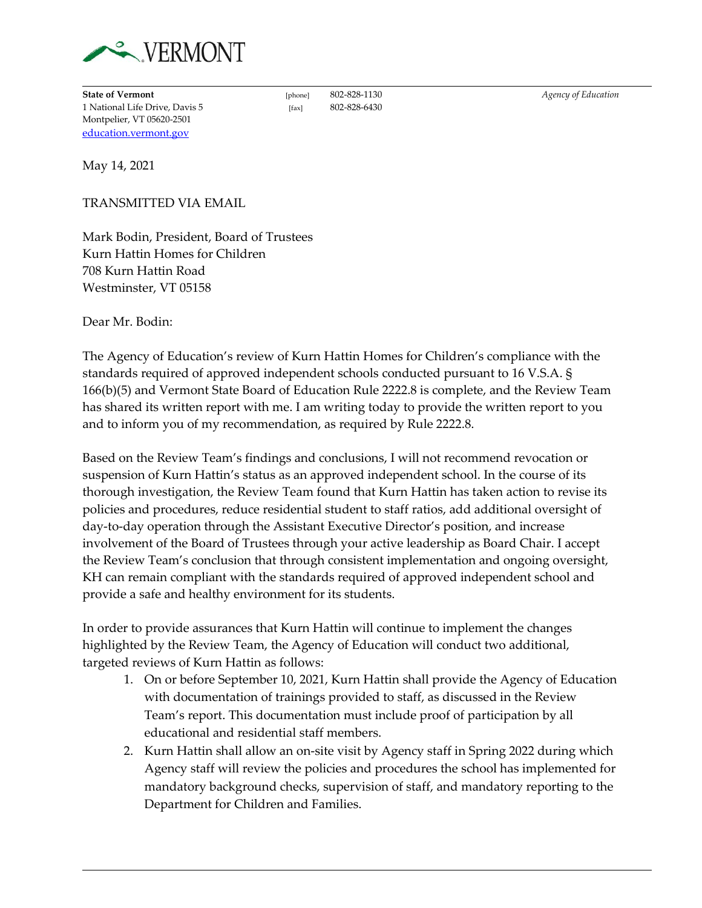

**State of Vermont** [phone] 802-828-1130 *Agency of Education* 1 National Life Drive, Davis 5 [fax] 802-828-6430 Montpelier, VT 05620-2501 [education.vermont.gov](http://education.vermont.gov/)

May 14, 2021

TRANSMITTED VIA EMAIL

Mark Bodin, President, Board of Trustees Kurn Hattin Homes for Children 708 Kurn Hattin Road Westminster, VT 05158

Dear Mr. Bodin:

The Agency of Education's review of Kurn Hattin Homes for Children's compliance with the standards required of approved independent schools conducted pursuant to 16 V.S.A. § 166(b)(5) and Vermont State Board of Education Rule 2222.8 is complete, and the Review Team has shared its written report with me. I am writing today to provide the written report to you and to inform you of my recommendation, as required by Rule 2222.8.

Based on the Review Team's findings and conclusions, I will not recommend revocation or suspension of Kurn Hattin's status as an approved independent school. In the course of its thorough investigation, the Review Team found that Kurn Hattin has taken action to revise its policies and procedures, reduce residential student to staff ratios, add additional oversight of day-to-day operation through the Assistant Executive Director's position, and increase involvement of the Board of Trustees through your active leadership as Board Chair. I accept the Review Team's conclusion that through consistent implementation and ongoing oversight, KH can remain compliant with the standards required of approved independent school and provide a safe and healthy environment for its students.

In order to provide assurances that Kurn Hattin will continue to implement the changes highlighted by the Review Team, the Agency of Education will conduct two additional, targeted reviews of Kurn Hattin as follows:

- 1. On or before September 10, 2021, Kurn Hattin shall provide the Agency of Education with documentation of trainings provided to staff, as discussed in the Review Team's report. This documentation must include proof of participation by all educational and residential staff members.
- 2. Kurn Hattin shall allow an on-site visit by Agency staff in Spring 2022 during which Agency staff will review the policies and procedures the school has implemented for mandatory background checks, supervision of staff, and mandatory reporting to the Department for Children and Families.